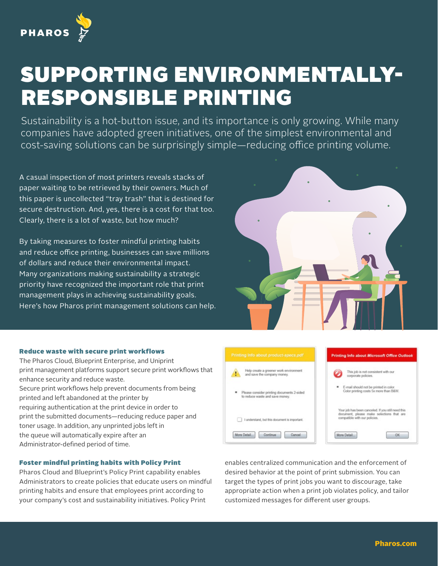

## SUPPORTING ENVIRONMENTALLY-RESPONSIBLE PRINTING

Sustainability is a hot-button issue, and its importance is only growing. While many companies have adopted green initiatives, one of the simplest environmental and cost-saving solutions can be surprisingly simple—reducing office printing volume.

A casual inspection of most printers reveals stacks of paper waiting to be retrieved by their owners. Much of this paper is uncollected "tray trash" that is destined for secure destruction. And, yes, there is a cost for that too. Clearly, there is a lot of waste, but how much?

By taking measures to foster mindful printing habits and reduce office printing, businesses can save millions of dollars and reduce their environmental impact. Many organizations making sustainability a strategic priority have recognized the important role that print management plays in achieving sustainability goals. Here's how Pharos print management solutions can help.



## Reduce waste with secure print workflows

The Pharos Cloud, Blueprint Enterprise, and Uniprint print management platforms support secure print workflows that enhance security and reduce waste. Secure print workflows help prevent documents from being printed and left abandoned at the printer by requiring authentication at the print device in order to print the submitted documents—reducing reduce paper and toner usage. In addition, any unprinted jobs left in the queue will automatically expire after an Administrator-defined period of time.

## Foster mindful printing habits with Policy Print

Pharos Cloud and Blueprint's Policy Print capability enables Administrators to create policies that educate users on mindful printing habits and ensure that employees print according to your company's cost and sustainability initiatives. Policy Print



enables centralized communication and the enforcement of desired behavior at the point of print submission. You can target the types of print jobs you want to discourage, take appropriate action when a print job violates policy, and tailor customized messages for different user groups.